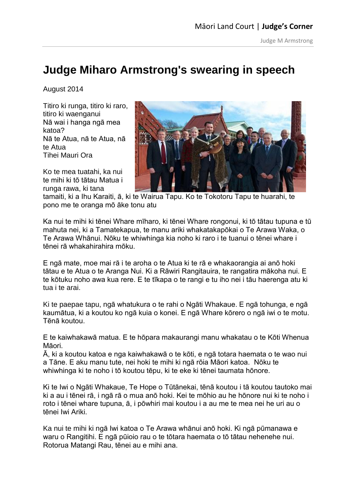## **Judge Miharo Armstrong's swearing in speech**

August 2014

Titiro ki runga, titiro ki raro, titiro ki waenganui Nā wai i hanga ngā mea katoa? Nā te Atua, nā te Atua, nā te Atua Tihei Mauri Ora

Ko te mea tuatahi, ka nui te mihi ki tō tātau Matua i runga rawa, ki tana



tamaiti, ki a Ihu Karaiti, ā, ki te Wairua Tapu. Ko te Tokotoru Tapu te huarahi, te pono me te oranga mō āke tonu atu

Ka nui te mihi ki tēnei Whare mīharo, ki tēnei Whare rongonui, ki tō tātau tupuna e tū mahuta nei, ki a Tamatekapua, te manu ariki whakatakapōkai o Te Arawa Waka, o Te Arawa Whānui. Nōku te whiwhinga kia noho ki raro i te tuanui o tēnei whare i tēnei rā whakahirahira mōku.

E ngā mate, moe mai rā i te aroha o te Atua ki te rā e whakaorangia ai anō hoki tātau e te Atua o te Aranga Nui. Ki a Rāwiri Rangitauira, te rangatira mākoha nui. E te kōtuku noho awa kua rere. E te tīkapa o te rangi e tu iho nei i tāu haerenga atu ki tua i te arai.

Ki te paepae tapu, ngā whatukura o te rahi o Ngāti Whakaue. E ngā tohunga, e ngā kaumātua, ki a koutou ko ngā kuia o konei. E ngā Whare kōrero o ngā iwi o te motu. Tēnā koutou.

E te kaiwhakawā matua. E te hōpara makaurangi manu whakatau o te Kōti Whenua Māori.

Ā, ki a koutou katoa e nga kaiwhakawā o te kōti, e ngā totara haemata o te wao nui a Tāne. E aku manu tute, nei hoki te mihi ki ngā rōia Māori katoa. Nōku te whiwhinga ki te noho i tō koutou tēpu, ki te eke ki tēnei taumata hōnore.

Ki te Iwi o Ngāti Whakaue, Te Hope o Tūtānekai, tēnā koutou i tā koutou tautoko mai ki a au i tēnei rā, i ngā rā o mua anō hoki. Kei te mōhio au he hōnore nui ki te noho i roto i tēnei whare tupuna, ā, i pōwhiri mai koutou i a au me te mea nei he uri au o tēnei Iwi Ariki.

Ka nui te mihi ki ngā Iwi katoa o Te Arawa whānui anō hoki. Ki ngā pūmanawa e waru o Rangitihi. E ngā pūioio rau o te tōtara haemata o tō tātau nehenehe nui. Rotorua Matangi Rau, tēnei au e mihi ana.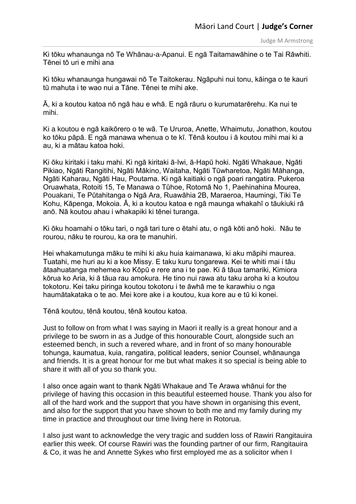Ki tōku whanaunga nō Te Whānau-a-Apanui. E ngā Taitamawāhine o te Tai Rāwhiti. Tēnei tō uri e mihi ana

Ki tōku whanaunga hungawai nō Te Taitokerau. Ngāpuhi nui tonu, kāinga o te kauri tū mahuta i te wao nui a Tāne. Tēnei te mihi ake.

Ā, ki a koutou katoa nō ngā hau e whā. E ngā rāuru o kurumatarērehu. Ka nui te mihi.

Ki a koutou e ngā kaikōrero o te wā. Te Ururoa, Anette, Whaimutu, Jonathon, koutou ko tōku pāpā. E ngā manawa whenua o te kī. Tēnā koutou i ā koutou mihi mai ki a au, ki a mātau katoa hoki.

Ki ōku kiritaki i taku mahi. Ki ngā kiritaki ā-Iwi, ā-Hapū hoki. Ngāti Whakaue, Ngāti Pikiao, Ngāti Rangitihi, Ngāti Mākino, Waitaha, Ngāti Tūwharetoa, Ngāti Māhanga, Ngāti Kaharau, Ngāti Hau, Poutama. Ki ngā kaitiaki o ngā poari rangatira. Pukeroa Oruawhata, Rotoiti 15, Te Manawa o Tūhoe, Rotomā No 1, Paehinahina Mourea, Pouakani, Te Pūtahitanga o Ngā Ara, Ruawāhia 2B, Maraeroa, Haumingi, Tiki Te Kohu, Kāpenga, Mokoia. Ā, ki a koutou katoa e ngā maunga whakahī o tāukiuki rā anō. Nā koutou ahau i whakapiki ki tēnei turanga.

Ki ōku hoamahi o tōku tari, o ngā tari ture o ētahi atu, o ngā kōti anō hoki. Nāu te rourou, nāku te rourou, ka ora te manuhiri.

Hei whakamutunga māku te mihi ki aku huia kaimanawa, ki aku māpihi maurea. Tuatahi, me huri au ki a koe Missy. E taku kuru tongarewa. Kei te whiti mai i tāu ātaahuatanga mehemea ko Kōpū e rere ana i te pae. Ki ā tāua tamariki, Kimiora kōrua ko Aria, ki ā tāua rau amokura. He tino nui rawa atu taku aroha ki a koutou tokotoru. Kei taku piringa koutou tokotoru i te āwhā me te karawhiu o nga haumātakataka o te ao. Mei kore ake i a koutou, kua kore au e tū ki konei.

Tēnā koutou, tēnā koutou, tēnā koutou katoa.

Just to follow on from what I was saying in Maori it really is a great honour and a privilege to be sworn in as a Judge of this honourable Court, alongside such an esteemed bench, in such a revered whare, and in front of so many honourable tohunga, kaumatua, kuia, rangatira, political leaders, senior Counsel, whānaunga and friends. It is a great honour for me but what makes it so special is being able to share it with all of you so thank you.

I also once again want to thank Ngāti Whakaue and Te Arawa whānui for the privilege of having this occasion in this beautiful esteemed house. Thank you also for all of the hard work and the support that you have shown in organising this event, and also for the support that you have shown to both me and my family during my time in practice and throughout our time living here in Rotorua.

I also just want to acknowledge the very tragic and sudden loss of Rawiri Rangitauira earlier this week. Of course Rawiri was the founding partner of our firm, Rangitauira & Co, it was he and Annette Sykes who first employed me as a solicitor when I